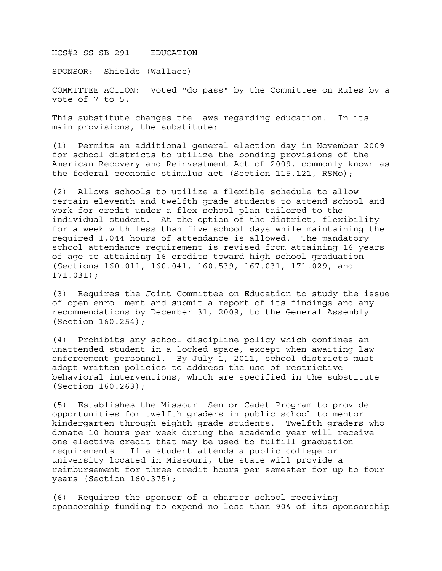HCS#2 SS SB 291 -- EDUCATION

SPONSOR: Shields (Wallace)

COMMITTEE ACTION: Voted "do pass" by the Committee on Rules by a vote of 7 to 5.

This substitute changes the laws regarding education. In its main provisions, the substitute:

(1) Permits an additional general election day in November 2009 for school districts to utilize the bonding provisions of the American Recovery and Reinvestment Act of 2009, commonly known as the federal economic stimulus act (Section 115.121, RSMo);

(2) Allows schools to utilize a flexible schedule to allow certain eleventh and twelfth grade students to attend school and work for credit under a flex school plan tailored to the individual student. At the option of the district, flexibility for a week with less than five school days while maintaining the required 1,044 hours of attendance is allowed. The mandatory school attendance requirement is revised from attaining 16 years of age to attaining 16 credits toward high school graduation (Sections 160.011, 160.041, 160.539, 167.031, 171.029, and 171.031);

(3) Requires the Joint Committee on Education to study the issue of open enrollment and submit a report of its findings and any recommendations by December 31, 2009, to the General Assembly (Section 160.254);

(4) Prohibits any school discipline policy which confines an unattended student in a locked space, except when awaiting law enforcement personnel. By July 1, 2011, school districts must adopt written policies to address the use of restrictive behavioral interventions, which are specified in the substitute (Section 160.263);

(5) Establishes the Missouri Senior Cadet Program to provide opportunities for twelfth graders in public school to mentor kindergarten through eighth grade students. Twelfth graders who donate 10 hours per week during the academic year will receive one elective credit that may be used to fulfill graduation requirements. If a student attends a public college or university located in Missouri, the state will provide a reimbursement for three credit hours per semester for up to four years (Section 160.375);

(6) Requires the sponsor of a charter school receiving sponsorship funding to expend no less than 90% of its sponsorship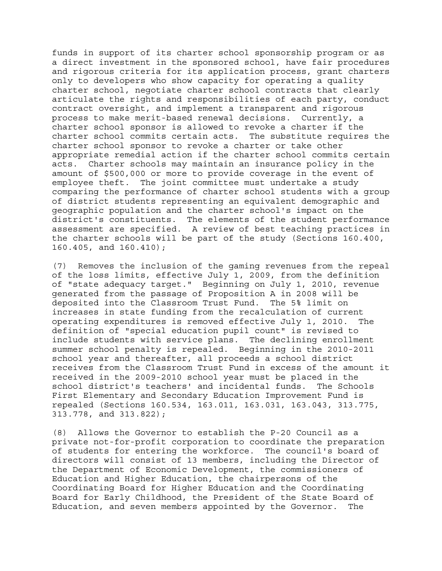funds in support of its charter school sponsorship program or as a direct investment in the sponsored school, have fair procedures and rigorous criteria for its application process, grant charters only to developers who show capacity for operating a quality charter school, negotiate charter school contracts that clearly articulate the rights and responsibilities of each party, conduct contract oversight, and implement a transparent and rigorous process to make merit-based renewal decisions. Currently, a charter school sponsor is allowed to revoke a charter if the charter school commits certain acts. The substitute requires the charter school sponsor to revoke a charter or take other appropriate remedial action if the charter school commits certain acts. Charter schools may maintain an insurance policy in the amount of \$500,000 or more to provide coverage in the event of employee theft. The joint committee must undertake a study comparing the performance of charter school students with a group of district students representing an equivalent demographic and geographic population and the charter school's impact on the district's constituents. The elements of the student performance assessment are specified. A review of best teaching practices in the charter schools will be part of the study (Sections 160.400, 160.405, and 160.410);

(7) Removes the inclusion of the gaming revenues from the repeal of the loss limits, effective July 1, 2009, from the definition of "state adequacy target." Beginning on July 1, 2010, revenue generated from the passage of Proposition A in 2008 will be deposited into the Classroom Trust Fund. The 5% limit on increases in state funding from the recalculation of current operating expenditures is removed effective July 1, 2010. The definition of "special education pupil count" is revised to include students with service plans. The declining enrollment summer school penalty is repealed. Beginning in the 2010-2011 school year and thereafter, all proceeds a school district receives from the Classroom Trust Fund in excess of the amount it received in the 2009-2010 school year must be placed in the school district's teachers' and incidental funds. The Schools First Elementary and Secondary Education Improvement Fund is repealed (Sections 160.534, 163.011, 163.031, 163.043, 313.775, 313.778, and 313.822);

(8) Allows the Governor to establish the P-20 Council as a private not-for-profit corporation to coordinate the preparation of students for entering the workforce. The council's board of directors will consist of 13 members, including the Director of the Department of Economic Development, the commissioners of Education and Higher Education, the chairpersons of the Coordinating Board for Higher Education and the Coordinating Board for Early Childhood, the President of the State Board of Education, and seven members appointed by the Governor. The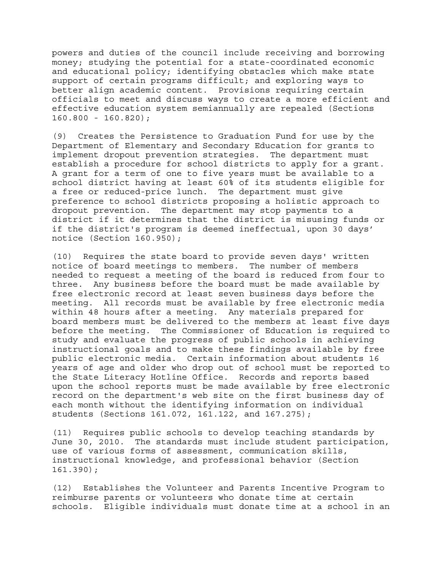powers and duties of the council include receiving and borrowing money; studying the potential for a state-coordinated economic and educational policy; identifying obstacles which make state support of certain programs difficult; and exploring ways to better align academic content. Provisions requiring certain officials to meet and discuss ways to create a more efficient and effective education system semiannually are repealed (Sections 160.800 - 160.820);

(9) Creates the Persistence to Graduation Fund for use by the Department of Elementary and Secondary Education for grants to implement dropout prevention strategies. The department must establish a procedure for school districts to apply for a grant. A grant for a term of one to five years must be available to a school district having at least 60% of its students eligible for a free or reduced-price lunch. The department must give preference to school districts proposing a holistic approach to dropout prevention. The department may stop payments to a district if it determines that the district is misusing funds or if the district's program is deemed ineffectual, upon 30 days' notice (Section 160.950);

(10) Requires the state board to provide seven days' written notice of board meetings to members. The number of members needed to request a meeting of the board is reduced from four to three. Any business before the board must be made available by free electronic record at least seven business days before the meeting. All records must be available by free electronic media within 48 hours after a meeting. Any materials prepared for board members must be delivered to the members at least five days before the meeting. The Commissioner of Education is required to study and evaluate the progress of public schools in achieving instructional goals and to make these findings available by free public electronic media. Certain information about students 16 years of age and older who drop out of school must be reported to the State Literacy Hotline Office. Records and reports based upon the school reports must be made available by free electronic record on the department's web site on the first business day of each month without the identifying information on individual students (Sections 161.072, 161.122, and 167.275);

(11) Requires public schools to develop teaching standards by June 30, 2010. The standards must include student participation, use of various forms of assessment, communication skills, instructional knowledge, and professional behavior (Section 161.390);

(12) Establishes the Volunteer and Parents Incentive Program to reimburse parents or volunteers who donate time at certain schools. Eligible individuals must donate time at a school in an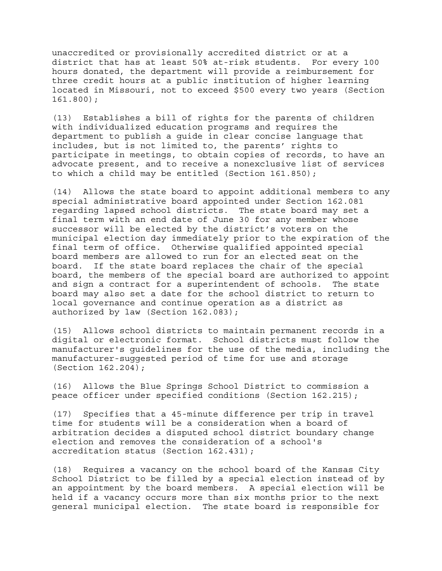unaccredited or provisionally accredited district or at a district that has at least 50% at-risk students. For every 100 hours donated, the department will provide a reimbursement for three credit hours at a public institution of higher learning located in Missouri, not to exceed \$500 every two years (Section 161.800);

(13) Establishes a bill of rights for the parents of children with individualized education programs and requires the department to publish a guide in clear concise language that includes, but is not limited to, the parents' rights to participate in meetings, to obtain copies of records, to have an advocate present, and to receive a nonexclusive list of services to which a child may be entitled (Section 161.850);

(14) Allows the state board to appoint additional members to any special administrative board appointed under Section 162.081 regarding lapsed school districts. The state board may set a final term with an end date of June 30 for any member whose successor will be elected by the district's voters on the municipal election day immediately prior to the expiration of the final term of office. Otherwise qualified appointed special board members are allowed to run for an elected seat on the board. If the state board replaces the chair of the special board, the members of the special board are authorized to appoint and sign a contract for a superintendent of schools. The state board may also set a date for the school district to return to local governance and continue operation as a district as authorized by law (Section 162.083);

(15) Allows school districts to maintain permanent records in a digital or electronic format. School districts must follow the manufacturer's guidelines for the use of the media, including the manufacturer-suggested period of time for use and storage (Section 162.204);

(16) Allows the Blue Springs School District to commission a peace officer under specified conditions (Section 162.215);

(17) Specifies that a 45-minute difference per trip in travel time for students will be a consideration when a board of arbitration decides a disputed school district boundary change election and removes the consideration of a school's accreditation status (Section 162.431);

(18) Requires a vacancy on the school board of the Kansas City School District to be filled by a special election instead of by an appointment by the board members. A special election will be held if a vacancy occurs more than six months prior to the next general municipal election. The state board is responsible for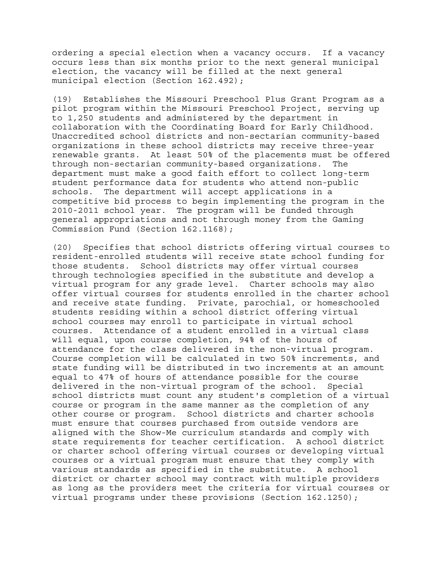ordering a special election when a vacancy occurs. If a vacancy occurs less than six months prior to the next general municipal election, the vacancy will be filled at the next general municipal election (Section 162.492);

(19) Establishes the Missouri Preschool Plus Grant Program as a pilot program within the Missouri Preschool Project, serving up to 1,250 students and administered by the department in collaboration with the Coordinating Board for Early Childhood. Unaccredited school districts and non-sectarian community-based organizations in these school districts may receive three-year renewable grants. At least 50% of the placements must be offered through non-sectarian community-based organizations. The department must make a good faith effort to collect long-term student performance data for students who attend non-public schools. The department will accept applications in a competitive bid process to begin implementing the program in the 2010-2011 school year. The program will be funded through general appropriations and not through money from the Gaming Commission Fund (Section 162.1168);

(20) Specifies that school districts offering virtual courses to resident-enrolled students will receive state school funding for those students. School districts may offer virtual courses through technologies specified in the substitute and develop a virtual program for any grade level. Charter schools may also offer virtual courses for students enrolled in the charter school and receive state funding. Private, parochial, or homeschooled students residing within a school district offering virtual school courses may enroll to participate in virtual school courses. Attendance of a student enrolled in a virtual class will equal, upon course completion, 94% of the hours of attendance for the class delivered in the non-virtual program. Course completion will be calculated in two 50% increments, and state funding will be distributed in two increments at an amount equal to 47% of hours of attendance possible for the course delivered in the non-virtual program of the school. Special school districts must count any student's completion of a virtual course or program in the same manner as the completion of any other course or program. School districts and charter schools must ensure that courses purchased from outside vendors are aligned with the Show-Me curriculum standards and comply with state requirements for teacher certification. A school district or charter school offering virtual courses or developing virtual courses or a virtual program must ensure that they comply with various standards as specified in the substitute. A school district or charter school may contract with multiple providers as long as the providers meet the criteria for virtual courses or virtual programs under these provisions (Section 162.1250);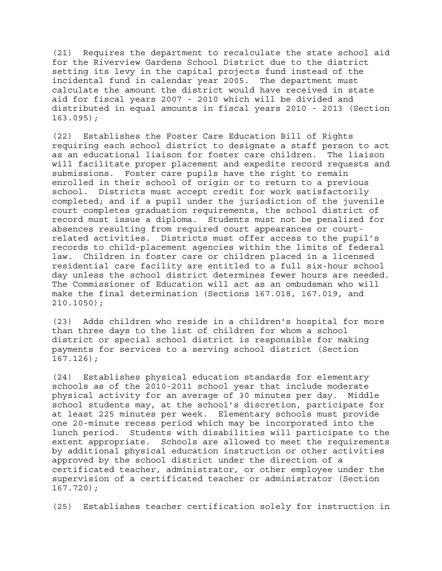(21) Requires the department to recalculate the state school aid for the Riverview Gardens School District due to the district setting its levy in the capital projects fund instead of the incidental fund in calendar year 2005. The department must calculate the amount the district would have received in state aid for fiscal years 2007 - 2010 which will be divided and distributed in equal amounts in fiscal years 2010 - 2013 (Section 163.095);

(22) Establishes the Foster Care Education Bill of Rights requiring each school district to designate a staff person to act as an educational liaison for foster care children. The liaison will facilitate proper placement and expedite record requests and submissions. Foster care pupils have the right to remain enrolled in their school of origin or to return to a previous school. Districts must accept credit for work satisfactorily completed; and if a pupil under the jurisdiction of the juvenile court completes graduation requirements, the school district of record must issue a diploma. Students must not be penalized for absences resulting from required court appearances or courtrelated activities. Districts must offer access to the pupil's records to child-placement agencies within the limits of federal law. Children in foster care or children placed in a licensed residential care facility are entitled to a full six-hour school day unless the school district determines fewer hours are needed. The Commissioner of Education will act as an ombudsman who will make the final determination (Sections 167.018, 167.019, and 210.1050);

(23) Adds children who reside in a children's hospital for more than three days to the list of children for whom a school district or special school district is responsible for making payments for services to a serving school district (Section 167.126);

(24) Establishes physical education standards for elementary schools as of the 2010-2011 school year that include moderate physical activity for an average of 30 minutes per day. Middle school students may, at the school's discretion, participate for at least 225 minutes per week. Elementary schools must provide one 20-minute recess period which may be incorporated into the lunch period. Students with disabilities will participate to the extent appropriate. Schools are allowed to meet the requirements by additional physical education instruction or other activities approved by the school district under the direction of a certificated teacher, administrator, or other employee under the supervision of a certificated teacher or administrator (Section 167.720);

(25) Establishes teacher certification solely for instruction in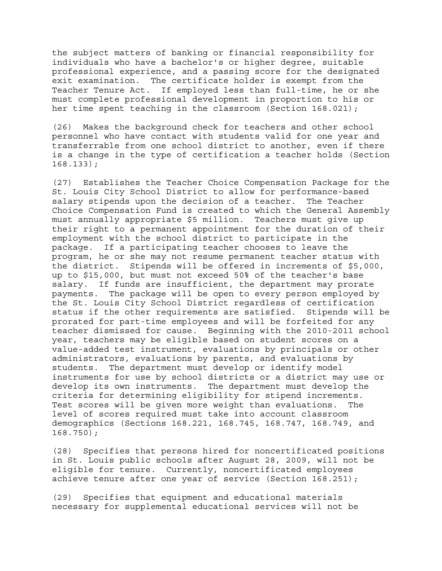the subject matters of banking or financial responsibility for individuals who have a bachelor's or higher degree, suitable professional experience, and a passing score for the designated exit examination. The certificate holder is exempt from the Teacher Tenure Act. If employed less than full-time, he or she must complete professional development in proportion to his or her time spent teaching in the classroom (Section 168.021);

(26) Makes the background check for teachers and other school personnel who have contact with students valid for one year and transferrable from one school district to another, even if there is a change in the type of certification a teacher holds (Section 168.133);

(27) Establishes the Teacher Choice Compensation Package for the St. Louis City School District to allow for performance-based salary stipends upon the decision of a teacher. The Teacher Choice Compensation Fund is created to which the General Assembly must annually appropriate \$5 million. Teachers must give up their right to a permanent appointment for the duration of their employment with the school district to participate in the package. If a participating teacher chooses to leave the program, he or she may not resume permanent teacher status with the district. Stipends will be offered in increments of \$5,000, up to \$15,000, but must not exceed 50% of the teacher's base salary. If funds are insufficient, the department may prorate payments. The package will be open to every person employed by the St. Louis City School District regardless of certification status if the other requirements are satisfied. Stipends will be prorated for part-time employees and will be forfeited for any teacher dismissed for cause. Beginning with the 2010-2011 school year, teachers may be eligible based on student scores on a value-added test instrument, evaluations by principals or other administrators, evaluations by parents, and evaluations by students. The department must develop or identify model instruments for use by school districts or a district may use or develop its own instruments. The department must develop the criteria for determining eligibility for stipend increments. Test scores will be given more weight than evaluations. The level of scores required must take into account classroom demographics (Sections 168.221, 168.745, 168.747, 168.749, and 168.750);

(28) Specifies that persons hired for noncertificated positions in St. Louis public schools after August 28, 2009, will not be eligible for tenure. Currently, noncertificated employees achieve tenure after one year of service (Section 168.251);

(29) Specifies that equipment and educational materials necessary for supplemental educational services will not be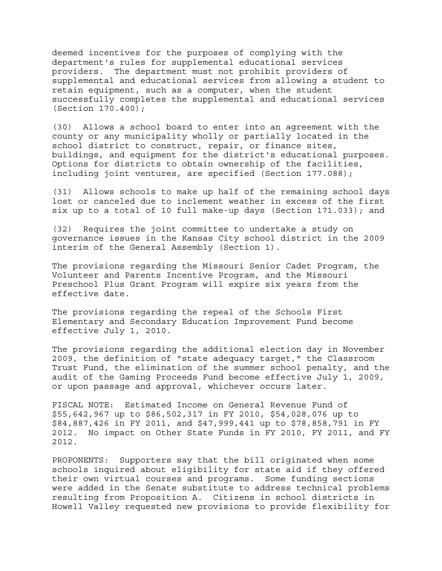deemed incentives for the purposes of complying with the department's rules for supplemental educational services providers. The department must not prohibit providers of supplemental and educational services from allowing a student to retain equipment, such as a computer, when the student successfully completes the supplemental and educational services (Section 170.400);

(30) Allows a school board to enter into an agreement with the county or any municipality wholly or partially located in the school district to construct, repair, or finance sites, buildings, and equipment for the district's educational purposes. Options for districts to obtain ownership of the facilities, including joint ventures, are specified (Section 177.088);

(31) Allows schools to make up half of the remaining school days lost or canceled due to inclement weather in excess of the first six up to a total of 10 full make-up days (Section 171.033); and

(32) Requires the joint committee to undertake a study on governance issues in the Kansas City school district in the 2009 interim of the General Assembly (Section 1).

The provisions regarding the Missouri Senior Cadet Program, the Volunteer and Parents Incentive Program, and the Missouri Preschool Plus Grant Program will expire six years from the effective date.

The provisions regarding the repeal of the Schools First Elementary and Secondary Education Improvement Fund become effective July 1, 2010.

The provisions regarding the additional election day in November 2009, the definition of "state adequacy target," the Classroom Trust Fund, the elimination of the summer school penalty, and the audit of the Gaming Proceeds Fund become effective July 1, 2009, or upon passage and approval, whichever occurs later.

FISCAL NOTE: Estimated Income on General Revenue Fund of \$55,642,967 up to \$86,502,317 in FY 2010, \$54,028,076 up to \$84,887,426 in FY 2011, and \$47,999,441 up to \$78,858,791 in FY 2012. No impact on Other State Funds in FY 2010, FY 2011, and FY 2012.

PROPONENTS: Supporters say that the bill originated when some schools inquired about eligibility for state aid if they offered their own virtual courses and programs. Some funding sections were added in the Senate substitute to address technical problems resulting from Proposition A. Citizens in school districts in Howell Valley requested new provisions to provide flexibility for